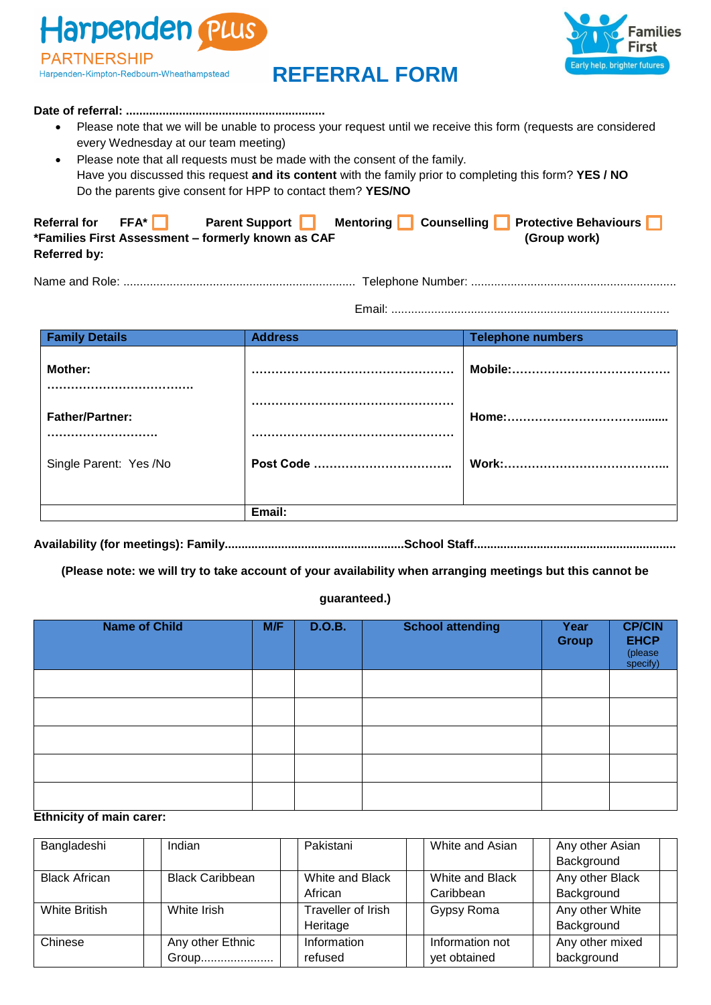Harpenden Plus **PARTNERSHIP** Harpenden-Kimpton-Redbourn-Wheathampstead

# Early help, brighter futures

# **REFERRAL FORM**

#### **Date of referral: ............................................................**

- Please note that we will be unable to process your request until we receive this form (requests are considered every Wednesday at our team meeting)
- Please note that all requests must be made with the consent of the family. Have you discussed this request **and its content** with the family prior to completing this form? **YES / NO** Do the parents give consent for HPP to contact them? **YES/NO**

| Referral for $FFA^*$ | <b>Parent Support</b>                              |  | Mentoring Counselling Protective Behaviours |  |
|----------------------|----------------------------------------------------|--|---------------------------------------------|--|
|                      | *Families First Assessment - formerly known as CAF |  | (Group work)                                |  |
| Referred by:         |                                                    |  |                                             |  |

Name and Role: ...................................................................... Telephone Number: ..............................................................

Email: ....................................................................................

| <b>Family Details</b>  | <b>Address</b> | <b>Telephone numbers</b> |
|------------------------|----------------|--------------------------|
| Mother:                |                |                          |
| <b>Father/Partner:</b> |                |                          |
| Single Parent: Yes /No | Post Code      |                          |
|                        | Email:         |                          |

**Availability (for meetings): Family......................................................School Staff.............................................................**

**(Please note: we will try to take account of your availability when arranging meetings but this cannot be** 

#### **guaranteed.)**

| <b>Name of Child</b> | M/F | <b>D.O.B.</b> | <b>School attending</b> | Year<br><b>Group</b> | <b>CP/CIN</b><br><b>EHCP</b><br>(please<br>specify) |
|----------------------|-----|---------------|-------------------------|----------------------|-----------------------------------------------------|
|                      |     |               |                         |                      |                                                     |
|                      |     |               |                         |                      |                                                     |
|                      |     |               |                         |                      |                                                     |
|                      |     |               |                         |                      |                                                     |
|                      |     |               |                         |                      |                                                     |

#### **Ethnicity of main carer:**

| Bangladeshi          | Indian                 | Pakistani          | White and Asian | Any other Asian |  |
|----------------------|------------------------|--------------------|-----------------|-----------------|--|
|                      |                        |                    |                 | Background      |  |
| <b>Black African</b> | <b>Black Caribbean</b> | White and Black    | White and Black | Any other Black |  |
|                      |                        | African            | Caribbean       | Background      |  |
| White British        | White Irish            | Traveller of Irish | Gypsy Roma      | Any other White |  |
|                      |                        | Heritage           |                 | Background      |  |
| Chinese              | Any other Ethnic       | Information        | Information not | Any other mixed |  |
|                      | Group                  | refused            | yet obtained    | background      |  |